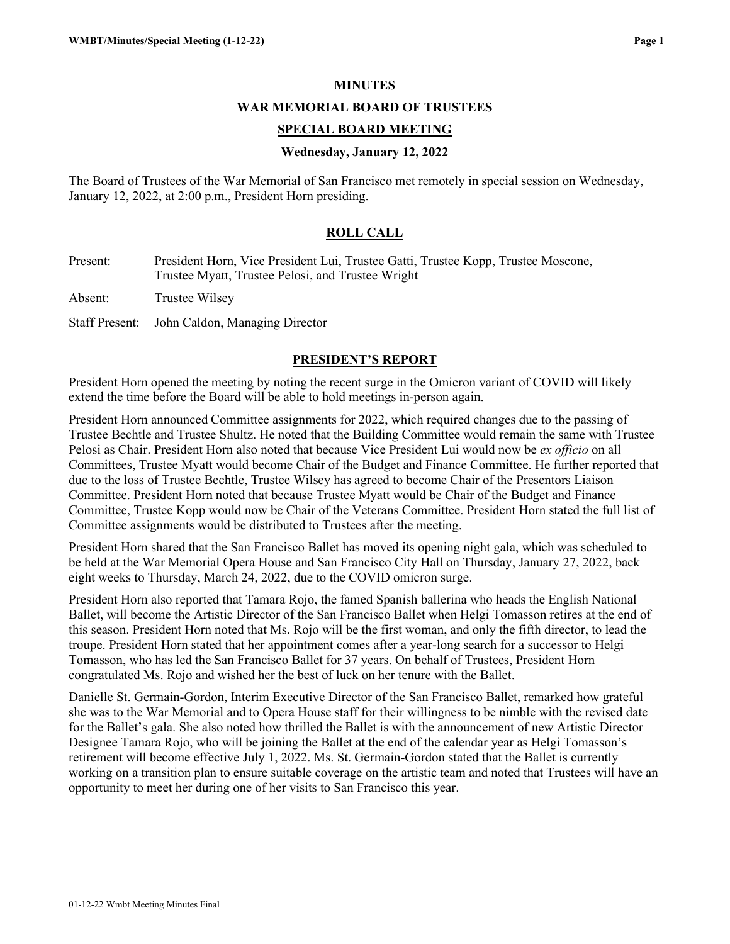### **MINUTES**

#### **WAR MEMORIAL BOARD OF TRUSTEES**

### **SPECIAL BOARD MEETING**

### **Wednesday, January 12, 2022**

The Board of Trustees of the War Memorial of San Francisco met remotely in special session on Wednesday, January 12, 2022, at 2:00 p.m., President Horn presiding.

### **ROLL CALL**

Present: President Horn, Vice President Lui, Trustee Gatti, Trustee Kopp, Trustee Moscone, Trustee Myatt, Trustee Pelosi, and Trustee Wright

Absent: Trustee Wilsey

Staff Present: John Caldon, Managing Director

### **PRESIDENT'S REPORT**

President Horn opened the meeting by noting the recent surge in the Omicron variant of COVID will likely extend the time before the Board will be able to hold meetings in-person again.

President Horn announced Committee assignments for 2022, which required changes due to the passing of Trustee Bechtle and Trustee Shultz. He noted that the Building Committee would remain the same with Trustee Pelosi as Chair. President Horn also noted that because Vice President Lui would now be *ex officio* on all Committees, Trustee Myatt would become Chair of the Budget and Finance Committee. He further reported that due to the loss of Trustee Bechtle, Trustee Wilsey has agreed to become Chair of the Presentors Liaison Committee. President Horn noted that because Trustee Myatt would be Chair of the Budget and Finance Committee, Trustee Kopp would now be Chair of the Veterans Committee. President Horn stated the full list of Committee assignments would be distributed to Trustees after the meeting.

President Horn shared that the San Francisco Ballet has moved its opening night gala, which was scheduled to be held at the War Memorial Opera House and San Francisco City Hall on Thursday, January 27, 2022, back eight weeks to Thursday, March 24, 2022, due to the COVID omicron surge.

President Horn also reported that Tamara Rojo, the famed Spanish ballerina who heads the English National Ballet, will become the Artistic Director of the San Francisco Ballet when Helgi Tomasson retires at the end of this season. President Horn noted that Ms. Rojo will be the first woman, and only the fifth director, to lead the troupe. President Horn stated that her appointment comes after a year-long search for a successor to Helgi Tomasson, who has led the San Francisco Ballet for 37 years. On behalf of Trustees, President Horn congratulated Ms. Rojo and wished her the best of luck on her tenure with the Ballet.

Danielle St. Germain-Gordon, Interim Executive Director of the San Francisco Ballet, remarked how grateful she was to the War Memorial and to Opera House staff for their willingness to be nimble with the revised date for the Ballet's gala. She also noted how thrilled the Ballet is with the announcement of new Artistic Director Designee Tamara Rojo, who will be joining the Ballet at the end of the calendar year as Helgi Tomasson's retirement will become effective July 1, 2022. Ms. St. Germain-Gordon stated that the Ballet is currently working on a transition plan to ensure suitable coverage on the artistic team and noted that Trustees will have an opportunity to meet her during one of her visits to San Francisco this year.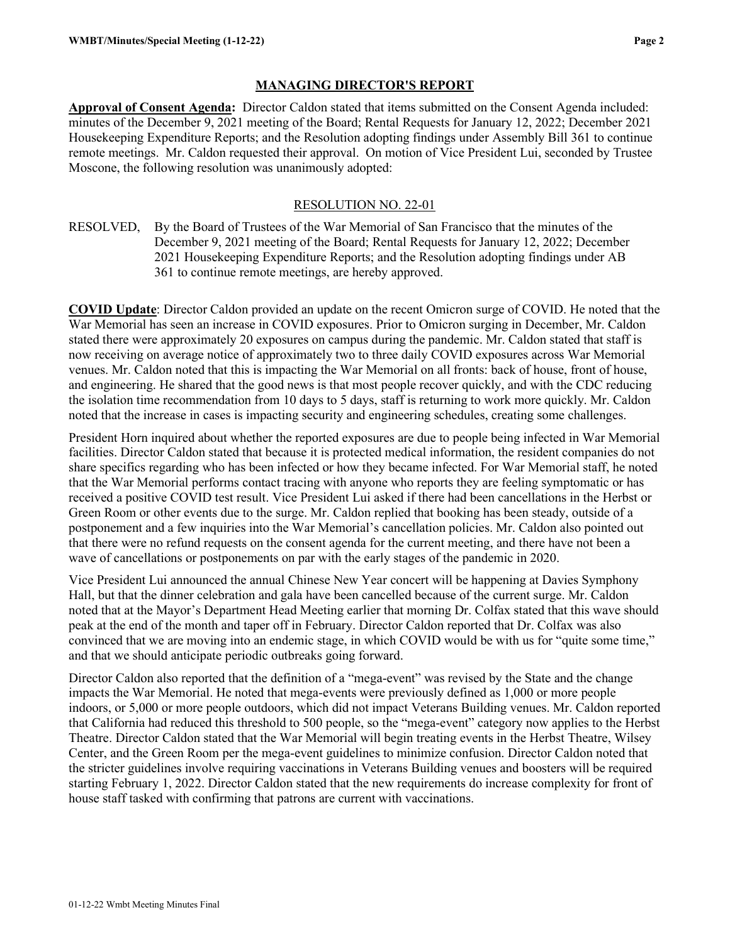### **MANAGING DIRECTOR'S REPORT**

**Approval of Consent Agenda:** Director Caldon stated that items submitted on the Consent Agenda included: minutes of the December 9, 2021 meeting of the Board; Rental Requests for January 12, 2022; December 2021 Housekeeping Expenditure Reports; and the Resolution adopting findings under Assembly Bill 361 to continue remote meetings. Mr. Caldon requested their approval. On motion of Vice President Lui, seconded by Trustee Moscone, the following resolution was unanimously adopted:

### RESOLUTION NO. 22-01

RESOLVED, By the Board of Trustees of the War Memorial of San Francisco that the minutes of the December 9, 2021 meeting of the Board; Rental Requests for January 12, 2022; December 2021 Housekeeping Expenditure Reports; and the Resolution adopting findings under AB 361 to continue remote meetings, are hereby approved.

**COVID Update**: Director Caldon provided an update on the recent Omicron surge of COVID. He noted that the War Memorial has seen an increase in COVID exposures. Prior to Omicron surging in December, Mr. Caldon stated there were approximately 20 exposures on campus during the pandemic. Mr. Caldon stated that staff is now receiving on average notice of approximately two to three daily COVID exposures across War Memorial venues. Mr. Caldon noted that this is impacting the War Memorial on all fronts: back of house, front of house, and engineering. He shared that the good news is that most people recover quickly, and with the CDC reducing the isolation time recommendation from 10 days to 5 days, staff is returning to work more quickly. Mr. Caldon noted that the increase in cases is impacting security and engineering schedules, creating some challenges.

President Horn inquired about whether the reported exposures are due to people being infected in War Memorial facilities. Director Caldon stated that because it is protected medical information, the resident companies do not share specifics regarding who has been infected or how they became infected. For War Memorial staff, he noted that the War Memorial performs contact tracing with anyone who reports they are feeling symptomatic or has received a positive COVID test result. Vice President Lui asked if there had been cancellations in the Herbst or Green Room or other events due to the surge. Mr. Caldon replied that booking has been steady, outside of a postponement and a few inquiries into the War Memorial's cancellation policies. Mr. Caldon also pointed out that there were no refund requests on the consent agenda for the current meeting, and there have not been a wave of cancellations or postponements on par with the early stages of the pandemic in 2020.

Vice President Lui announced the annual Chinese New Year concert will be happening at Davies Symphony Hall, but that the dinner celebration and gala have been cancelled because of the current surge. Mr. Caldon noted that at the Mayor's Department Head Meeting earlier that morning Dr. Colfax stated that this wave should peak at the end of the month and taper off in February. Director Caldon reported that Dr. Colfax was also convinced that we are moving into an endemic stage, in which COVID would be with us for "quite some time," and that we should anticipate periodic outbreaks going forward.

Director Caldon also reported that the definition of a "mega-event" was revised by the State and the change impacts the War Memorial. He noted that mega-events were previously defined as 1,000 or more people indoors, or 5,000 or more people outdoors, which did not impact Veterans Building venues. Mr. Caldon reported that California had reduced this threshold to 500 people, so the "mega-event" category now applies to the Herbst Theatre. Director Caldon stated that the War Memorial will begin treating events in the Herbst Theatre, Wilsey Center, and the Green Room per the mega-event guidelines to minimize confusion. Director Caldon noted that the stricter guidelines involve requiring vaccinations in Veterans Building venues and boosters will be required starting February 1, 2022. Director Caldon stated that the new requirements do increase complexity for front of house staff tasked with confirming that patrons are current with vaccinations.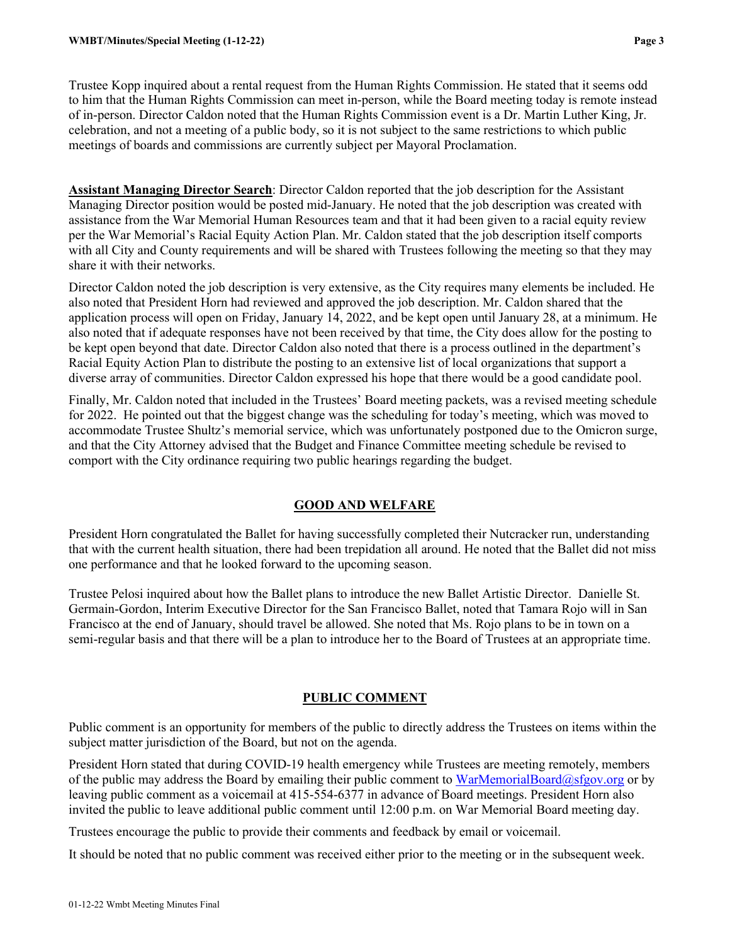Trustee Kopp inquired about a rental request from the Human Rights Commission. He stated that it seems odd to him that the Human Rights Commission can meet in-person, while the Board meeting today is remote instead of in-person. Director Caldon noted that the Human Rights Commission event is a Dr. Martin Luther King, Jr. celebration, and not a meeting of a public body, so it is not subject to the same restrictions to which public meetings of boards and commissions are currently subject per Mayoral Proclamation.

**Assistant Managing Director Search**: Director Caldon reported that the job description for the Assistant Managing Director position would be posted mid-January. He noted that the job description was created with assistance from the War Memorial Human Resources team and that it had been given to a racial equity review per the War Memorial's Racial Equity Action Plan. Mr. Caldon stated that the job description itself comports with all City and County requirements and will be shared with Trustees following the meeting so that they may share it with their networks.

Director Caldon noted the job description is very extensive, as the City requires many elements be included. He also noted that President Horn had reviewed and approved the job description. Mr. Caldon shared that the application process will open on Friday, January 14, 2022, and be kept open until January 28, at a minimum. He also noted that if adequate responses have not been received by that time, the City does allow for the posting to be kept open beyond that date. Director Caldon also noted that there is a process outlined in the department's Racial Equity Action Plan to distribute the posting to an extensive list of local organizations that support a diverse array of communities. Director Caldon expressed his hope that there would be a good candidate pool.

Finally, Mr. Caldon noted that included in the Trustees' Board meeting packets, was a revised meeting schedule for 2022. He pointed out that the biggest change was the scheduling for today's meeting, which was moved to accommodate Trustee Shultz's memorial service, which was unfortunately postponed due to the Omicron surge, and that the City Attorney advised that the Budget and Finance Committee meeting schedule be revised to comport with the City ordinance requiring two public hearings regarding the budget.

# **GOOD AND WELFARE**

President Horn congratulated the Ballet for having successfully completed their Nutcracker run, understanding that with the current health situation, there had been trepidation all around. He noted that the Ballet did not miss one performance and that he looked forward to the upcoming season.

Trustee Pelosi inquired about how the Ballet plans to introduce the new Ballet Artistic Director. Danielle St. Germain-Gordon, Interim Executive Director for the San Francisco Ballet, noted that Tamara Rojo will in San Francisco at the end of January, should travel be allowed. She noted that Ms. Rojo plans to be in town on a semi-regular basis and that there will be a plan to introduce her to the Board of Trustees at an appropriate time.

# **PUBLIC COMMENT**

Public comment is an opportunity for members of the public to directly address the Trustees on items within the subject matter jurisdiction of the Board, but not on the agenda.

President Horn stated that during COVID-19 health emergency while Trustees are meeting remotely, members of the public may address the Board by emailing their public comment to [WarMemorialBoard@sfgov.org](mailto:WarMemorialBoard@sfgov.org) or by leaving public comment as a voicemail at 415-554-6377 in advance of Board meetings. President Horn also invited the public to leave additional public comment until 12:00 p.m. on War Memorial Board meeting day.

Trustees encourage the public to provide their comments and feedback by email or voicemail.

It should be noted that no public comment was received either prior to the meeting or in the subsequent week.